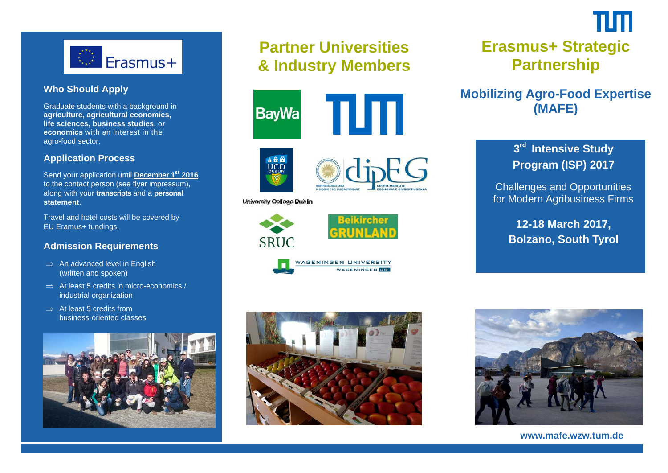

#### **Who Should Apply**

Graduate students with a background in **agriculture, agricultural economics, life sciences, business studies**, or **economics** with an interest in the agro-food sector.

#### **Application Process**

Send your application until **December 1st 2016** to the contact person (see flyer impressum), along with your **transcripts** and a **personal statement**.

Travel and hotel costs will be covered by EU Eramus+ fundings.

#### **Admission Requirements**

- $\Rightarrow$  An advanced level in English (written and spoken)
- $\Rightarrow$  At least 5 credits in micro-economics / industrial organization
- $\Rightarrow$  At least 5 credits from business-oriented classes



# **Partner Universities & Industry Members**







#### University College Dublin









# **Erasmus+ Strategic Partnership**

#### **Mobilizing Agro-Food Expertise (MAFE)**

### **<sup>3</sup>rd Intensive Study Program (ISP) 2017**

 Challenges and Opportunities for Modern Agribusiness Firms

 **12-18 March 2017, Bolzano, South Tyrol** 



**www.mafe.wzw.tum.de**